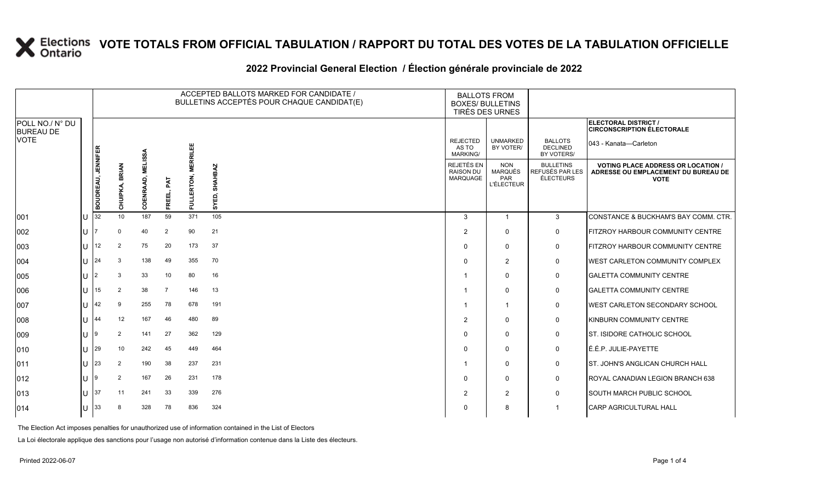#### **2022 Provincial General Election / Élection générale provinciale de 2022**

|                                     |               | ACCEPTED BALLOTS MARKED FOR CANDIDATE /<br>BULLETINS ACCEPTÉS POUR CHAQUE CANDIDAT(E) |                          |                                        |                |                 |                  | <b>BALLOTS FROM</b><br><b>BOXES/ BULLETINS</b><br>TIRÉS DES URNES |                                                          |                                                  |                                                                                                 |
|-------------------------------------|---------------|---------------------------------------------------------------------------------------|--------------------------|----------------------------------------|----------------|-----------------|------------------|-------------------------------------------------------------------|----------------------------------------------------------|--------------------------------------------------|-------------------------------------------------------------------------------------------------|
| POLL NO./ N° DU<br><b>BUREAU DE</b> |               |                                                                                       |                          |                                        |                |                 |                  |                                                                   |                                                          |                                                  | ELECTORAL DISTRICT /<br><b>CIRCONSCRIPTION ÉLECTORALE</b>                                       |
| <b>VOTE</b>                         |               |                                                                                       |                          |                                        |                | <b>MERRILEE</b> |                  | <b>REJECTED</b><br>AS TO<br>MARKING/                              | <b>UNMARKED</b><br>BY VOTER/                             | <b>BALLOTS</b><br><b>DECLINED</b><br>BY VOTERS/  | 043 - Kanata-Carleton                                                                           |
|                                     |               | <b>BOUDREAU, JENNIFER</b>                                                             | <b>BRIAN</b><br>CHUIPKA, | <b>MELISSA</b><br>ō,<br><b>COENRAA</b> | FAT<br>FREEL   | FULLERTON,      | SHAHBAZ<br>SYED, | <b>REJETÉS EN</b><br><b>RAISON DU</b><br>MARQUAGE                 | <b>NON</b><br><b>MARQUÉS</b><br>PAR<br><b>L'ÉLECTEUR</b> | <b>BULLETINS</b><br>REFUSÉS PAR LES<br>ÉLECTEURS | <b>VOTING PLACE ADDRESS OR LOCATION /</b><br>ADRESSE OU EMPLACEMENT DU BUREAU DE<br><b>VOTE</b> |
| 001                                 | U             | 32                                                                                    | 10 <sup>1</sup>          | 187                                    | 59             | 371             | 105              | 3                                                                 | $\overline{1}$                                           | 3                                                | CONSTANCE & BUCKHAM'S BAY COMM. CTR.                                                            |
| 002                                 | lU.           |                                                                                       | $\Omega$                 | 40                                     | $\overline{2}$ | 90              | 21               | 2                                                                 | $\Omega$                                                 | 0                                                | <b>FITZROY HARBOUR COMMUNITY CENTRE</b>                                                         |
| 003                                 | U             | 12                                                                                    | $\overline{2}$           | 75                                     | 20             | 173             | 37               | $\Omega$                                                          | $\mathbf 0$                                              | $\mathbf 0$                                      | <b>FITZROY HARBOUR COMMUNITY CENTRE</b>                                                         |
| 004                                 | $ 11 $ $ 24 $ |                                                                                       | 3                        | 138                                    | 49             | 355             | 70               | $\Omega$                                                          | 2                                                        | 0                                                | <b>IWEST CARLETON COMMUNITY COMPLEX</b>                                                         |
| 005                                 | lU.           | l2                                                                                    | 3                        | 33                                     | 10             | 80              | 16               |                                                                   | $\Omega$                                                 | 0                                                | <b>GALETTA COMMUNITY CENTRE</b>                                                                 |
| 006                                 | ΠL            | 15                                                                                    | 2                        | 38                                     | 7              | 146             | 13               |                                                                   | $\mathbf{0}$                                             | 0                                                | <b>GALETTA COMMUNITY CENTRE</b>                                                                 |
| 007                                 | U             | 42                                                                                    | 9                        | 255                                    | 78             | 678             | 191              |                                                                   | $\overline{1}$                                           | 0                                                | <b>WEST CARLETON SECONDARY SCHOOL</b>                                                           |
| 008                                 | $\cup$        | 44                                                                                    | 12                       | 167                                    | 46             | 480             | 89               | $\overline{2}$                                                    | $\mathbf 0$                                              | 0                                                | KINBURN COMMUNITY CENTRE                                                                        |
| 009                                 | U             | I9                                                                                    | $\overline{2}$           | 141                                    | 27             | 362             | 129              | $\Omega$                                                          | $\mathbf{0}$                                             | 0                                                | <b>ST. ISIDORE CATHOLIC SCHOOL</b>                                                              |
| 010                                 | $ U ^{29}$    |                                                                                       | 10                       | 242                                    | 45             | 449             | 464              | $\Omega$                                                          | $\mathbf{0}$                                             | 0                                                | É.É.P. JULIE-PAYETTE                                                                            |
| 011                                 | U             | 23                                                                                    | 2                        | 190                                    | 38             | 237             | 231              |                                                                   | $\mathbf{0}$                                             | 0                                                | <b>IST. JOHN'S ANGLICAN CHURCH HALL</b>                                                         |
| $ 012\rangle$                       | IU.           | I9                                                                                    | 2                        | 167                                    | 26             | 231             | 178              | $\Omega$                                                          | $\mathbf{0}$                                             | 0                                                | ROYAL CANADIAN LEGION BRANCH 638                                                                |
| $ 013\rangle$                       | $U$ 37        |                                                                                       | 11                       | 241                                    | 33             | 339             | 276              | $\overline{2}$                                                    | $\overline{2}$                                           | 0                                                | <b>SOUTH MARCH PUBLIC SCHOOL</b>                                                                |
| $ 014\rangle$                       | U             | 33                                                                                    |                          | 328                                    | 78             | 836             | 324              | 0                                                                 | 8                                                        | -1                                               | <b>CARP AGRICULTURAL HALL</b>                                                                   |

The Election Act imposes penalties for unauthorized use of information contained in the List of Electors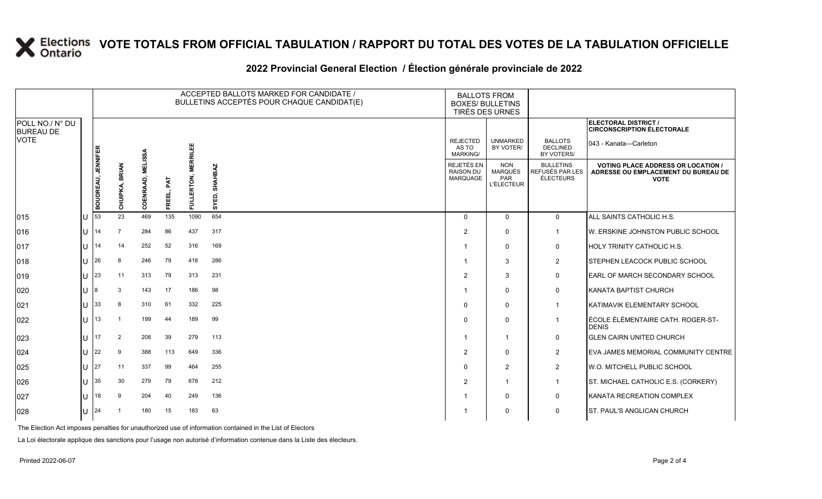#### **2022 Provincial General Election / Élection générale provinciale de 2022**

|                                     |     |                           |                          |                   |               |                     | ACCEPTED BALLOTS MARKED FOR CANDIDATE /<br>BULLETINS ACCEPTÉS POUR CHAQUE CANDIDAT(E) | <b>BALLOTS FROM</b><br><b>BOXES/ BULLETINS</b><br>TIRÉS DES URNES |                                                                 |                                                         |                                                                                                 |
|-------------------------------------|-----|---------------------------|--------------------------|-------------------|---------------|---------------------|---------------------------------------------------------------------------------------|-------------------------------------------------------------------|-----------------------------------------------------------------|---------------------------------------------------------|-------------------------------------------------------------------------------------------------|
| POLL NO./ N° DU<br><b>BUREAU DE</b> |     |                           |                          |                   |               |                     |                                                                                       |                                                                   |                                                                 |                                                         | ELECTORAL DISTRICT /<br><b>CIRCONSCRIPTION ÉLECTORALE</b>                                       |
| <b>VOTE</b>                         |     |                           |                          |                   |               |                     |                                                                                       | <b>REJECTED</b><br>AS TO<br><b>MARKING/</b>                       | <b>UNMARKED</b><br>BY VOTER/                                    | <b>BALLOTS</b><br>DECLINED<br>BY VOTERS/                | 043 - Kanata—Carleton                                                                           |
|                                     |     | <b>BOUDREAU, JENNIFER</b> | <b>BRIAN</b><br>CHUIPKA, | COENRAAD, MELISSA | PAT<br>FREEL, | FULLERTON, MERRILEE | <b>SHAHBAZ</b><br>SYED,                                                               | REJETÉS EN<br><b>RAISON DU</b><br><b>MARQUAGE</b>                 | <b>NON</b><br><b>MARQUÉS</b><br><b>PAR</b><br><b>L'ÉLECTEUR</b> | <b>BULLETINS</b><br>REFUSÉS PAR LES<br><b>ÉLECTEURS</b> | <b>VOTING PLACE ADDRESS OR LOCATION /</b><br>ADRESSE OU EMPLACEMENT DU BUREAU DE<br><b>VOTE</b> |
| $ 015\rangle$                       | lU  | 53                        | 23                       | 469               | 135           | 1090                | 654                                                                                   | $\Omega$                                                          | $\Omega$                                                        | $\mathbf 0$                                             | ALL SAINTS CATHOLIC H.S.                                                                        |
| 016                                 | U   | 14                        | 7                        | 284               | 86            | 437                 | 317                                                                                   | 2                                                                 | $\Omega$                                                        | $\overline{1}$                                          | W. ERSKINE JOHNSTON PUBLIC SCHOOL                                                               |
| 017                                 | ΙU  | 14                        | 14                       | 252               | 52            | 316                 | 169                                                                                   |                                                                   | $\Omega$                                                        | $\mathbf 0$                                             | HOLY TRINITY CATHOLIC H.S.                                                                      |
| 018                                 | lU  | 26                        | 8                        | 246               | 79            | 418                 | 286                                                                                   |                                                                   | 3                                                               | $\overline{2}$                                          | STEPHEN LEACOCK PUBLIC SCHOOL                                                                   |
| $ 019\rangle$                       | ΙU  | 23                        | 11                       | 313               | 79            | 313                 | 231                                                                                   | 2                                                                 | 3                                                               | $\mathsf{O}$                                            | EARL OF MARCH SECONDARY SCHOOL                                                                  |
| $ 020\rangle$                       | IП  | 8                         | 3                        | 143               | 17            | 186                 | 98                                                                                    |                                                                   | $\mathbf{0}$                                                    | $\mathbf 0$                                             | KANATA BAPTIST CHURCH                                                                           |
| 021                                 | lU  | 33                        | 8                        | 310               | 61            | 332                 | 225                                                                                   | $\mathbf 0$                                                       | $\Omega$                                                        | $\mathbf 1$                                             | KATIMAVIK ELEMENTARY SCHOOL                                                                     |
| 022                                 | IП  | 13                        |                          | 199               | 44            | 189                 | 99                                                                                    | $\Omega$                                                          | $\Omega$                                                        | $\overline{1}$                                          | ÉCOLE ÉLÉMENTAIRE CATH. ROGER-ST-<br><b>DENIS</b>                                               |
| 023                                 | ΙU  | 17                        | 2                        | 208               | 39            | 279                 | 113                                                                                   | -1                                                                | -1                                                              | $\mathsf{O}$                                            | <b>GLEN CAIRN UNITED CHURCH</b>                                                                 |
| 024                                 | lu  | 22                        | 9                        | 388               | 113           | 649                 | 336                                                                                   | 2                                                                 | $\mathbf{0}$                                                    | $\overline{2}$                                          | EVA JAMES MEMORIAL COMMUNITY CENTRE                                                             |
| 025                                 | lU  | 27                        | 11                       | 337               | 99            | 464                 | 255                                                                                   | $\mathbf 0$                                                       | $\overline{2}$                                                  | 2                                                       | W.O. MITCHELL PUBLIC SCHOOL                                                                     |
| 026                                 | IП  | 35                        | 30                       | 279               | 79            | 678                 | 212                                                                                   | 2                                                                 | -1                                                              | $\mathbf{1}$                                            | ST. MICHAEL CATHOLIC E.S. (CORKERY)                                                             |
| 027                                 | ΙU  | 18                        | 9                        | 204               | 40            | 249                 | 136                                                                                   |                                                                   | $\Omega$                                                        | $\mathbf 0$                                             | KANATA RECREATION COMPLEX                                                                       |
| 028                                 | lU. | 24                        |                          | 180               | 15            | 183                 | 63                                                                                    |                                                                   | 0                                                               | $\mathsf{O}$                                            | <b>ST. PAUL'S ANGLICAN CHURCH</b>                                                               |

The Election Act imposes penalties for unauthorized use of information contained in the List of Electors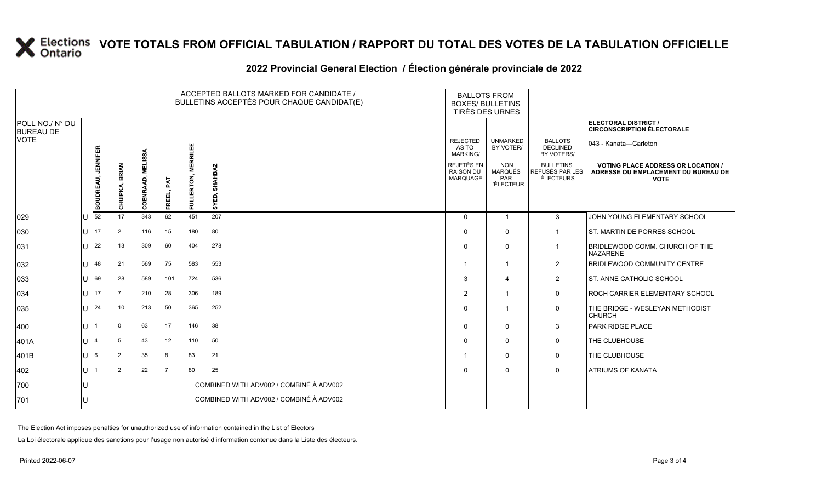#### **2022 Provincial General Election / Élection générale provinciale de 2022**

|                                     |     |                           | ACCEPTED BALLOTS MARKED FOR CANDIDATE /<br>BULLETINS ACCEPTÉS POUR CHAQUE CANDIDAT(E) |                   |                |                     |                                         | <b>BALLOTS FROM</b><br><b>BOXES/ BULLETINS</b><br>TIRÉS DES URNES |                                                                 |                                                         |                                                                                                 |
|-------------------------------------|-----|---------------------------|---------------------------------------------------------------------------------------|-------------------|----------------|---------------------|-----------------------------------------|-------------------------------------------------------------------|-----------------------------------------------------------------|---------------------------------------------------------|-------------------------------------------------------------------------------------------------|
| POLL NO./ N° DU<br><b>BUREAU DE</b> |     |                           |                                                                                       |                   |                |                     |                                         |                                                                   |                                                                 |                                                         | ELECTORAL DISTRICT /<br><b>CIRCONSCRIPTION ÉLECTORALE</b>                                       |
| <b>VOTE</b>                         |     |                           |                                                                                       |                   |                |                     |                                         | <b>REJECTED</b><br>AS TO<br><b>MARKING/</b>                       | <b>UNMARKED</b><br>BY VOTER/                                    | <b>BALLOTS</b><br><b>DECLINED</b><br>BY VOTERS/         | 043 - Kanata-Carleton                                                                           |
|                                     |     | <b>BOUDREAU, JENNIFER</b> | <b>BRIAN</b><br>CHUIPKA,                                                              | COENRAAD, MELISSA | FAT<br>FREEL   | FULLERTON, MERRILEE | SHAHBAZ<br>SYED,                        | REJETÉS EN<br><b>RAISON DU</b><br><b>MARQUAGE</b>                 | <b>NON</b><br><b>MARQUÉS</b><br><b>PAR</b><br><b>L'ÉLECTEUR</b> | <b>BULLETINS</b><br>REFUSÉS PAR LES<br><b>ÉLECTEURS</b> | <b>VOTING PLACE ADDRESS OR LOCATION /</b><br>ADRESSE OU EMPLACEMENT DU BUREAU DE<br><b>VOTE</b> |
| 029                                 | ΙU  | 52                        | 17                                                                                    | 343               | 62             | 451                 | 207                                     | $\Omega$                                                          | $\overline{\mathbf{1}}$                                         | 3                                                       | JOHN YOUNG ELEMENTARY SCHOOL                                                                    |
| 030                                 | lu  | 17                        | 2                                                                                     | 116               | 15             | 180                 | 80                                      | $\Omega$                                                          | $\Omega$                                                        |                                                         | ST. MARTIN DE PORRES SCHOOL                                                                     |
| 031                                 | ΙU  | 22                        | 13                                                                                    | 309               | 60             | 404                 | 278                                     | $\mathbf 0$                                                       | $\Omega$                                                        |                                                         | BRIDLEWOOD COMM. CHURCH OF THE<br><b>NAZARENE</b>                                               |
| 032                                 | ΙU  | 48                        | 21                                                                                    | 569               | 75             | 583                 | 553                                     |                                                                   | 1                                                               | $\overline{2}$                                          | <b>BRIDLEWOOD COMMUNITY CENTRE</b>                                                              |
| 033                                 | U   | 69                        | 28                                                                                    | 589               | 101            | 724                 | 536                                     | 3                                                                 | 4                                                               | $\overline{2}$                                          | <b>ST. ANNE CATHOLIC SCHOOL</b>                                                                 |
| 034                                 | lu  | 17                        |                                                                                       | 210               | 28             | 306                 | 189                                     | 2                                                                 | $\mathbf{1}$                                                    | $\mathbf 0$                                             | <b>ROCH CARRIER ELEMENTARY SCHOOL</b>                                                           |
| 035                                 | lu- | 24                        | 10                                                                                    | 213               | 50             | 365                 | 252                                     | $\Omega$                                                          | -1                                                              | 0                                                       | THE BRIDGE - WESLEYAN METHODIST<br><b>CHURCH</b>                                                |
| 400                                 | ΙU  |                           | $\mathbf 0$                                                                           | 63                | 17             | 146                 | 38                                      | $\Omega$                                                          | $\Omega$                                                        | 3                                                       | <b>PARK RIDGE PLACE</b>                                                                         |
| 401A                                | Iυ  | 4                         | 5                                                                                     | 43                | 12             | 110                 | 50                                      | $\Omega$                                                          | $\Omega$                                                        | $\mathbf 0$                                             | THE CLUBHOUSE                                                                                   |
| 401B                                | lU. | 6                         | $\overline{2}$                                                                        | 35                | 8              | 83                  | 21                                      |                                                                   | 0                                                               | $\mathbf 0$                                             | THE CLUBHOUSE                                                                                   |
| 402                                 | ΙU  |                           | 2                                                                                     | 22                | $\overline{7}$ | 80                  | 25                                      | $\Omega$                                                          | $\mathbf{0}$                                                    | $\mathbf 0$                                             | <b>ATRIUMS OF KANATA</b>                                                                        |
| 700                                 | lU  |                           |                                                                                       |                   |                |                     | COMBINED WITH ADV002 / COMBINÉ À ADV002 |                                                                   |                                                                 |                                                         |                                                                                                 |
| 701                                 | lU  |                           |                                                                                       |                   |                |                     | COMBINED WITH ADV002 / COMBINÉ À ADV002 |                                                                   |                                                                 |                                                         |                                                                                                 |

The Election Act imposes penalties for unauthorized use of information contained in the List of Electors